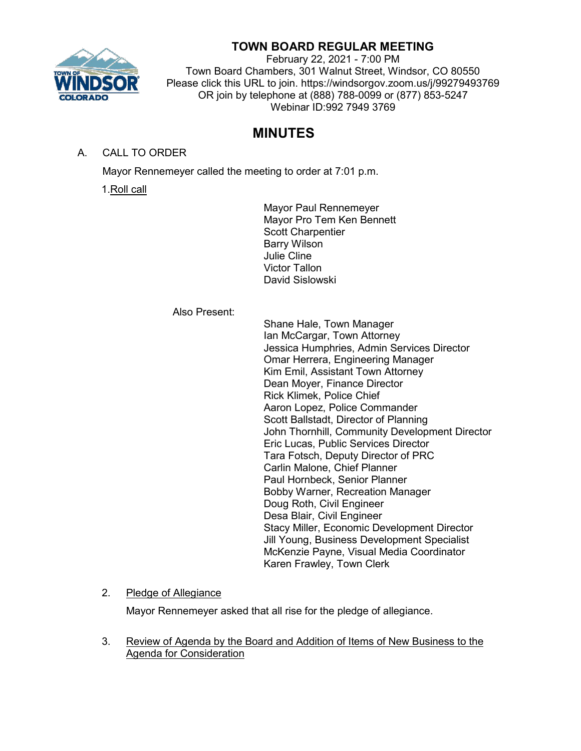

# **TOWN BOARD REGULAR MEETING**

February 22, 2021 - 7:00 PM Town Board Chambers, 301 Walnut Street, Windsor, CO 80550 Please click this URL to join. https://windsorgov.zoom.us/j/99279493769 OR join by telephone at (888) 788-0099 or (877) 853-5247 Webinar ID:992 7949 3769

# **MINUTES**

# A. CALL TO ORDER

Mayor Rennemeyer called the meeting to order at 7:01 p.m.

1.Roll call

Mayor Paul Rennemeyer Mayor Pro Tem Ken Bennett Scott Charpentier Barry Wilson Julie Cline Victor Tallon David Sislowski

Also Present:

Shane Hale, Town Manager Ian McCargar, Town Attorney Jessica Humphries, Admin Services Director Omar Herrera, Engineering Manager Kim Emil, Assistant Town Attorney Dean Moyer, Finance Director Rick Klimek, Police Chief Aaron Lopez, Police Commander Scott Ballstadt, Director of Planning John Thornhill, Community Development Director Eric Lucas, Public Services Director Tara Fotsch, Deputy Director of PRC Carlin Malone, Chief Planner Paul Hornbeck, Senior Planner Bobby Warner, Recreation Manager Doug Roth, Civil Engineer Desa Blair, Civil Engineer Stacy Miller, Economic Development Director Jill Young, Business Development Specialist McKenzie Payne, Visual Media Coordinator Karen Frawley, Town Clerk

## 2. Pledge of Allegiance

Mayor Rennemeyer asked that all rise for the pledge of allegiance.

3. Review of Agenda by the Board and Addition of Items of New Business to the Agenda for Consideration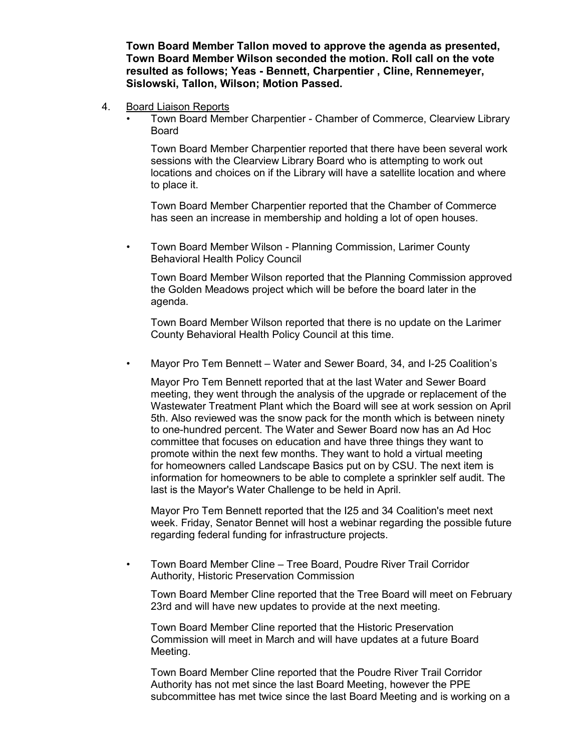**Town Board Member Tallon moved to approve the agenda as presented, Town Board Member Wilson seconded the motion. Roll call on the vote resulted as follows; Yeas - Bennett, Charpentier , Cline, Rennemeyer, Sislowski, Tallon, Wilson; Motion Passed.**

- 4. Board Liaison Reports
	- Town Board Member Charpentier Chamber of Commerce, Clearview Library Board

Town Board Member Charpentier reported that there have been several work sessions with the Clearview Library Board who is attempting to work out locations and choices on if the Library will have a satellite location and where to place it.

Town Board Member Charpentier reported that the Chamber of Commerce has seen an increase in membership and holding a lot of open houses.

• Town Board Member Wilson - Planning Commission, Larimer County Behavioral Health Policy Council

Town Board Member Wilson reported that the Planning Commission approved the Golden Meadows project which will be before the board later in the agenda.

Town Board Member Wilson reported that there is no update on the Larimer County Behavioral Health Policy Council at this time.

• Mayor Pro Tem Bennett – Water and Sewer Board, 34, and I-25 Coalition's

Mayor Pro Tem Bennett reported that at the last Water and Sewer Board meeting, they went through the analysis of the upgrade or replacement of the Wastewater Treatment Plant which the Board will see at work session on April 5th. Also reviewed was the snow pack for the month which is between ninety to one-hundred percent. The Water and Sewer Board now has an Ad Hoc committee that focuses on education and have three things they want to promote within the next few months. They want to hold a virtual meeting for homeowners called Landscape Basics put on by CSU. The next item is information for homeowners to be able to complete a sprinkler self audit. The last is the Mayor's Water Challenge to be held in April.

Mayor Pro Tem Bennett reported that the I25 and 34 Coalition's meet next week. Friday, Senator Bennet will host a webinar regarding the possible future regarding federal funding for infrastructure projects.

• Town Board Member Cline – Tree Board, Poudre River Trail Corridor Authority, Historic Preservation Commission

Town Board Member Cline reported that the Tree Board will meet on February 23rd and will have new updates to provide at the next meeting.

Town Board Member Cline reported that the Historic Preservation Commission will meet in March and will have updates at a future Board Meeting.

Town Board Member Cline reported that the Poudre River Trail Corridor Authority has not met since the last Board Meeting, however the PPE subcommittee has met twice since the last Board Meeting and is working on a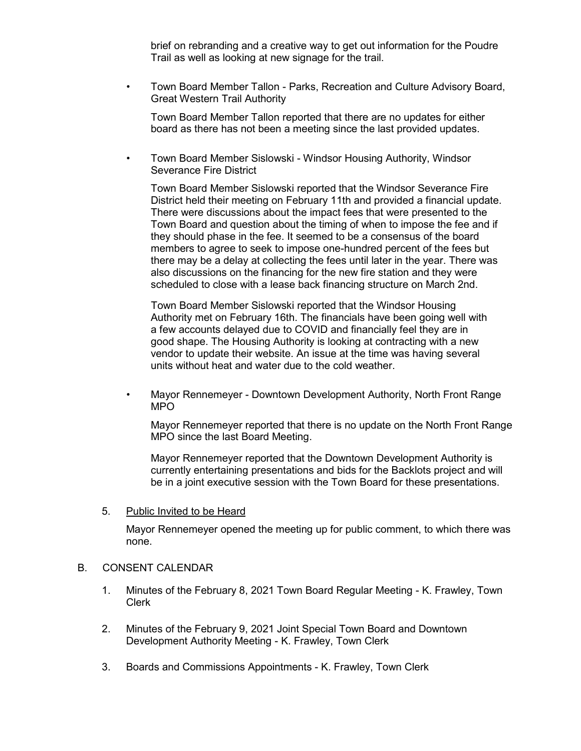brief on rebranding and a creative way to get out information for the Poudre Trail as well as looking at new signage for the trail.

• Town Board Member Tallon - Parks, Recreation and Culture Advisory Board, Great Western Trail Authority

Town Board Member Tallon reported that there are no updates for either board as there has not been a meeting since the last provided updates.

• Town Board Member Sislowski - Windsor Housing Authority, Windsor Severance Fire District

Town Board Member Sislowski reported that the Windsor Severance Fire District held their meeting on February 11th and provided a financial update. There were discussions about the impact fees that were presented to the Town Board and question about the timing of when to impose the fee and if they should phase in the fee. It seemed to be a consensus of the board members to agree to seek to impose one-hundred percent of the fees but there may be a delay at collecting the fees until later in the year. There was also discussions on the financing for the new fire station and they were scheduled to close with a lease back financing structure on March 2nd.

Town Board Member Sislowski reported that the Windsor Housing Authority met on February 16th. The financials have been going well with a few accounts delayed due to COVID and financially feel they are in good shape. The Housing Authority is looking at contracting with a new vendor to update their website. An issue at the time was having several units without heat and water due to the cold weather.

• Mayor Rennemeyer - Downtown Development Authority, North Front Range MPO

Mayor Rennemeyer reported that there is no update on the North Front Range MPO since the last Board Meeting.

Mayor Rennemeyer reported that the Downtown Development Authority is currently entertaining presentations and bids for the Backlots project and will be in a joint executive session with the Town Board for these presentations.

5. Public Invited to be Heard

Mayor Rennemeyer opened the meeting up for public comment, to which there was none.

#### B. CONSENT CALENDAR

- 1. Minutes of the February 8, 2021 Town Board Regular Meeting K. Frawley, Town Clerk
- 2. Minutes of the February 9, 2021 Joint Special Town Board and Downtown Development Authority Meeting - K. Frawley, Town Clerk
- 3. Boards and Commissions Appointments K. Frawley, Town Clerk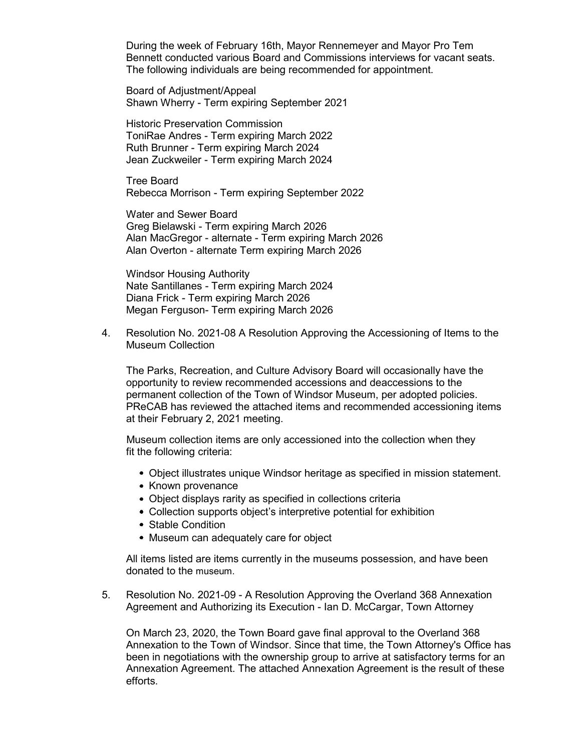During the week of February 16th, Mayor Rennemeyer and Mayor Pro Tem Bennett conducted various Board and Commissions interviews for vacant seats. The following individuals are being recommended for appointment.

Board of Adjustment/Appeal Shawn Wherry - Term expiring September 2021

Historic Preservation Commission ToniRae Andres - Term expiring March 2022 Ruth Brunner - Term expiring March 2024 Jean Zuckweiler - Term expiring March 2024

Tree Board Rebecca Morrison - Term expiring September 2022

Water and Sewer Board Greg Bielawski - Term expiring March 2026 Alan MacGregor - alternate - Term expiring March 2026 Alan Overton - alternate Term expiring March 2026

Windsor Housing Authority Nate Santillanes - Term expiring March 2024 Diana Frick - Term expiring March 2026 Megan Ferguson- Term expiring March 2026

4. Resolution No. 2021-08 A Resolution Approving the Accessioning of Items to the Museum Collection

The Parks, Recreation, and Culture Advisory Board will occasionally have the opportunity to review recommended accessions and deaccessions to the permanent collection of the Town of Windsor Museum, per adopted policies. PReCAB has reviewed the attached items and recommended accessioning items at their February 2, 2021 meeting.

Museum collection items are only accessioned into the collection when they fit the following criteria:

- Object illustrates unique Windsor heritage as specified in mission statement.
- Known provenance
- Object displays rarity as specified in collections criteria
- Collection supports object's interpretive potential for exhibition
- Stable Condition
- Museum can adequately care for object

All items listed are items currently in the museums possession, and have been donated to the museum.

5. Resolution No. 2021-09 - A Resolution Approving the Overland 368 Annexation Agreement and Authorizing its Execution - Ian D. McCargar, Town Attorney

On March 23, 2020, the Town Board gave final approval to the Overland 368 Annexation to the Town of Windsor. Since that time, the Town Attorney's Office has been in negotiations with the ownership group to arrive at satisfactory terms for an Annexation Agreement. The attached Annexation Agreement is the result of these efforts.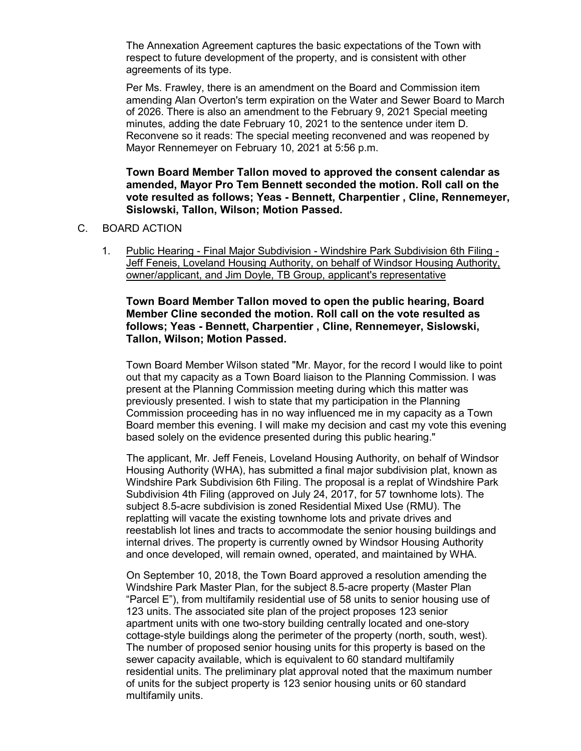The Annexation Agreement captures the basic expectations of the Town with respect to future development of the property, and is consistent with other agreements of its type.

Per Ms. Frawley, there is an amendment on the Board and Commission item amending Alan Overton's term expiration on the Water and Sewer Board to March of 2026. There is also an amendment to the February 9, 2021 Special meeting minutes, adding the date February 10, 2021 to the sentence under item D. Reconvene so it reads: The special meeting reconvened and was reopened by Mayor Rennemeyer on February 10, 2021 at 5:56 p.m.

**Town Board Member Tallon moved to approved the consent calendar as amended, Mayor Pro Tem Bennett seconded the motion. Roll call on the vote resulted as follows; Yeas - Bennett, Charpentier , Cline, Rennemeyer, Sislowski, Tallon, Wilson; Motion Passed.**

- C. BOARD ACTION
	- 1. Public Hearing Final Major Subdivision Windshire Park Subdivision 6th Filing Jeff Feneis, Loveland Housing Authority, on behalf of Windsor Housing Authority, owner/applicant, and Jim Doyle, TB Group, applicant's representative

## **Town Board Member Tallon moved to open the public hearing, Board Member Cline seconded the motion. Roll call on the vote resulted as follows; Yeas - Bennett, Charpentier , Cline, Rennemeyer, Sislowski, Tallon, Wilson; Motion Passed.**

Town Board Member Wilson stated "Mr. Mayor, for the record I would like to point out that my capacity as a Town Board liaison to the Planning Commission. I was present at the Planning Commission meeting during which this matter was previously presented. I wish to state that my participation in the Planning Commission proceeding has in no way influenced me in my capacity as a Town Board member this evening. I will make my decision and cast my vote this evening based solely on the evidence presented during this public hearing."

The applicant, Mr. Jeff Feneis, Loveland Housing Authority, on behalf of Windsor Housing Authority (WHA), has submitted a final major subdivision plat, known as Windshire Park Subdivision 6th Filing. The proposal is a replat of Windshire Park Subdivision 4th Filing (approved on July 24, 2017, for 57 townhome lots). The subject 8.5-acre subdivision is zoned Residential Mixed Use (RMU). The replatting will vacate the existing townhome lots and private drives and reestablish lot lines and tracts to accommodate the senior housing buildings and internal drives. The property is currently owned by Windsor Housing Authority and once developed, will remain owned, operated, and maintained by WHA.

On September 10, 2018, the Town Board approved a resolution amending the Windshire Park Master Plan, for the subject 8.5-acre property (Master Plan "Parcel E"), from multifamily residential use of 58 units to senior housing use of 123 units. The associated site plan of the project proposes 123 senior apartment units with one two-story building centrally located and one-story cottage-style buildings along the perimeter of the property (north, south, west). The number of proposed senior housing units for this property is based on the sewer capacity available, which is equivalent to 60 standard multifamily residential units. The preliminary plat approval noted that the maximum number of units for the subject property is 123 senior housing units or 60 standard multifamily units.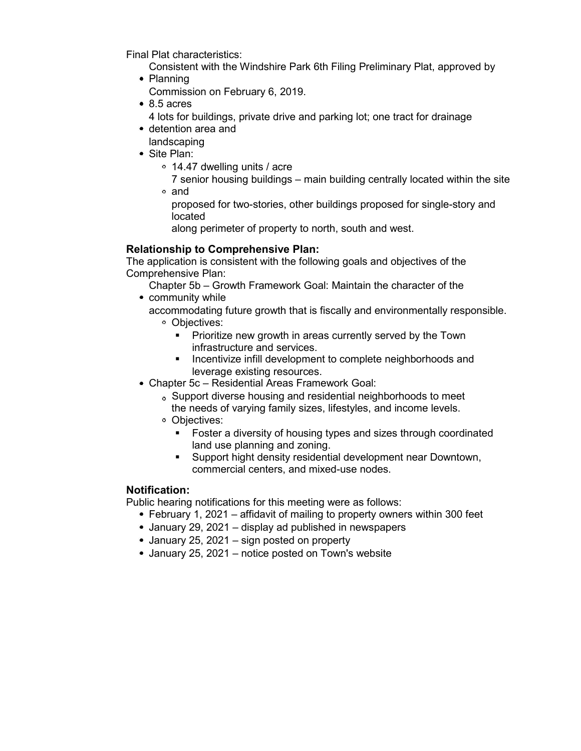Final Plat characteristics:

Consistent with the Windshire Park 6th Filing Preliminary Plat, approved by

- Planning
	- Commission on February 6, 2019.
- 8.5 acres
	- 4 lots for buildings, private drive and parking lot; one tract for drainage
- detention area and
- landscaping
- Site Plan:
	- 14.47 dwelling units / acre
	- 7 senior housing buildings main building centrally located within the site and
		- proposed for two-stories, other buildings proposed for single-story and located
		- along perimeter of property to north, south and west.

# **Relationship to Comprehensive Plan:**

The application is consistent with the following goals and objectives of the Comprehensive Plan:

Chapter 5b – Growth Framework Goal: Maintain the character of the • community while

- accommodating future growth that is fiscally and environmentally responsible. Objectives:
	- **Prioritize new growth in areas currently served by the Town** infrastructure and services.
	- **Incentivize infill development to complete neighborhoods and** leverage existing resources.
- Chapter 5c Residential Areas Framework Goal:
	- Support diverse housing and residential neighborhoods to meet the needs of varying family sizes, lifestyles, and income levels.
	- Objectives:
		- **Foster a diversity of housing types and sizes through coordinated** land use planning and zoning.
		- Support hight density residential development near Downtown, commercial centers, and mixed-use nodes.

## **Notification:**

Public hearing notifications for this meeting were as follows:

- February 1, 2021 affidavit of mailing to property owners within 300 feet
- January 29, 2021 display ad published in newspapers
- January 25, 2021 sign posted on property
- January 25, 2021 notice posted on Town's website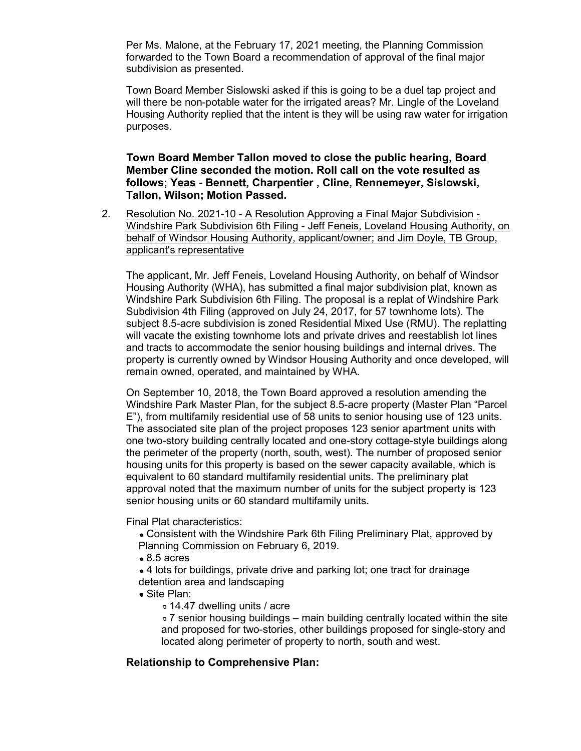Per Ms. Malone, at the February 17, 2021 meeting, the Planning Commission forwarded to the Town Board a recommendation of approval of the final major subdivision as presented.

Town Board Member Sislowski asked if this is going to be a duel tap project and will there be non-potable water for the irrigated areas? Mr. Lingle of the Loveland Housing Authority replied that the intent is they will be using raw water for irrigation purposes.

**Town Board Member Tallon moved to close the public hearing, Board Member Cline seconded the motion. Roll call on the vote resulted as follows; Yeas - Bennett, Charpentier , Cline, Rennemeyer, Sislowski, Tallon, Wilson; Motion Passed.**

2. Resolution No. 2021-10 - A Resolution Approving a Final Major Subdivision - Windshire Park Subdivision 6th Filing - Jeff Feneis, Loveland Housing Authority, on behalf of Windsor Housing Authority, applicant/owner; and Jim Doyle, TB Group, applicant's representative

The applicant, Mr. Jeff Feneis, Loveland Housing Authority, on behalf of Windsor Housing Authority (WHA), has submitted a final major subdivision plat, known as Windshire Park Subdivision 6th Filing. The proposal is a replat of Windshire Park Subdivision 4th Filing (approved on July 24, 2017, for 57 townhome lots). The subject 8.5-acre subdivision is zoned Residential Mixed Use (RMU). The replatting will vacate the existing townhome lots and private drives and reestablish lot lines and tracts to accommodate the senior housing buildings and internal drives. The property is currently owned by Windsor Housing Authority and once developed, will remain owned, operated, and maintained by WHA.

On September 10, 2018, the Town Board approved a resolution amending the Windshire Park Master Plan, for the subject 8.5-acre property (Master Plan "Parcel E"), from multifamily residential use of 58 units to senior housing use of 123 units. The associated site plan of the project proposes 123 senior apartment units with one two-story building centrally located and one-story cottage-style buildings along the perimeter of the property (north, south, west). The number of proposed senior housing units for this property is based on the sewer capacity available, which is equivalent to 60 standard multifamily residential units. The preliminary plat approval noted that the maximum number of units for the subject property is 123 senior housing units or 60 standard multifamily units.

Final Plat characteristics:

- Consistent with the Windshire Park 6th Filing Preliminary Plat, approved by Planning Commission on February 6, 2019.
- 8.5 acres
- 4 lots for buildings, private drive and parking lot; one tract for drainage detention area and landscaping
- Site Plan:
	- 14.47 dwelling units / acre

 $\circ$  7 senior housing buildings – main building centrally located within the site and proposed for two-stories, other buildings proposed for single-story and located along perimeter of property to north, south and west.

## **Relationship to Comprehensive Plan:**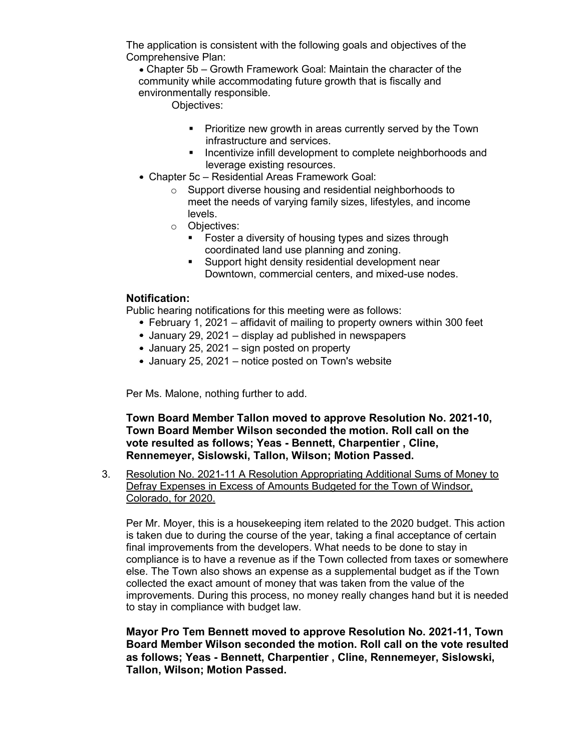The application is consistent with the following goals and objectives of the Comprehensive Plan:

Chapter 5b – Growth Framework Goal: Maintain the character of the community while accommodating future growth that is fiscally and environmentally responsible.

Objectives:

- **Prioritize new growth in areas currently served by the Town** infrastructure and services.
- **Incentivize infill development to complete neighborhoods and** leverage existing resources.
- Chapter 5c Residential Areas Framework Goal:
	- o Support diverse housing and residential neighborhoods to meet the needs of varying family sizes, lifestyles, and income levels.
	- o Objectives:
		- **Foster a diversity of housing types and sizes through** coordinated land use planning and zoning.
		- **Support hight density residential development near** Downtown, commercial centers, and mixed-use nodes.

## **Notification:**

Public hearing notifications for this meeting were as follows:

- February 1, 2021 affidavit of mailing to property owners within 300 feet
- January 29, 2021 display ad published in newspapers
- January 25, 2021 sign posted on property
- January 25, 2021 notice posted on Town's website

Per Ms. Malone, nothing further to add.

**Town Board Member Tallon moved to approve Resolution No. 2021-10, Town Board Member Wilson seconded the motion. Roll call on the vote resulted as follows; Yeas - Bennett, Charpentier , Cline, Rennemeyer, Sislowski, Tallon, Wilson; Motion Passed.**

3. Resolution No. 2021-11 A Resolution Appropriating Additional Sums of Money to Defray Expenses in Excess of Amounts Budgeted for the Town of Windsor, Colorado, for 2020.

Per Mr. Moyer, this is a housekeeping item related to the 2020 budget. This action is taken due to during the course of the year, taking a final acceptance of certain final improvements from the developers. What needs to be done to stay in compliance is to have a revenue as if the Town collected from taxes or somewhere else. The Town also shows an expense as a supplemental budget as if the Town collected the exact amount of money that was taken from the value of the improvements. During this process, no money really changes hand but it is needed to stay in compliance with budget law.

**Mayor Pro Tem Bennett moved to approve Resolution No. 2021-11, Town Board Member Wilson seconded the motion. Roll call on the vote resulted as follows; Yeas - Bennett, Charpentier , Cline, Rennemeyer, Sislowski, Tallon, Wilson; Motion Passed.**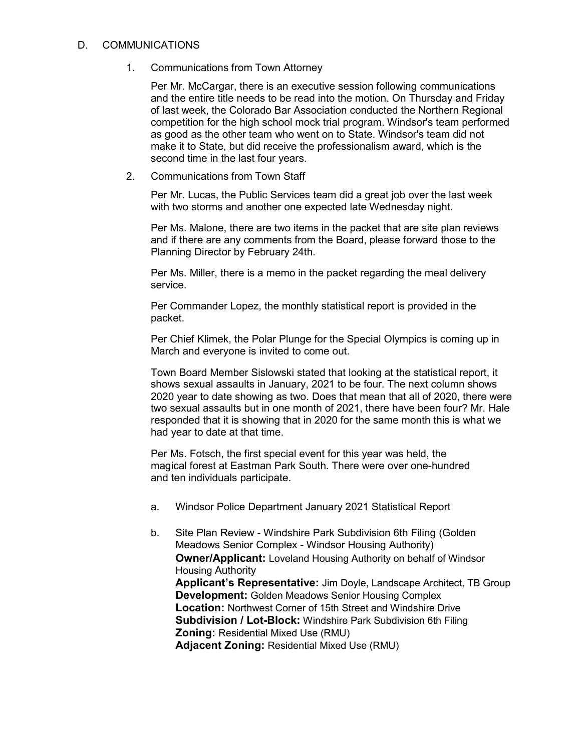#### D. COMMUNICATIONS

1. Communications from Town Attorney

Per Mr. McCargar, there is an executive session following communications and the entire title needs to be read into the motion. On Thursday and Friday of last week, the Colorado Bar Association conducted the Northern Regional competition for the high school mock trial program. Windsor's team performed as good as the other team who went on to State. Windsor's team did not make it to State, but did receive the professionalism award, which is the second time in the last four years.

2. Communications from Town Staff

Per Mr. Lucas, the Public Services team did a great job over the last week with two storms and another one expected late Wednesday night.

Per Ms. Malone, there are two items in the packet that are site plan reviews and if there are any comments from the Board, please forward those to the Planning Director by February 24th.

Per Ms. Miller, there is a memo in the packet regarding the meal delivery service.

Per Commander Lopez, the monthly statistical report is provided in the packet.

Per Chief Klimek, the Polar Plunge for the Special Olympics is coming up in March and everyone is invited to come out.

Town Board Member Sislowski stated that looking at the statistical report, it shows sexual assaults in January, 2021 to be four. The next column shows 2020 year to date showing as two. Does that mean that all of 2020, there were two sexual assaults but in one month of 2021, there have been four? Mr. Hale responded that it is showing that in 2020 for the same month this is what we had year to date at that time.

Per Ms. Fotsch, the first special event for this year was held, the magical forest at Eastman Park South. There were over one-hundred and ten individuals participate.

- a. Windsor Police Department January 2021 Statistical Report
- b. Site Plan Review Windshire Park Subdivision 6th Filing (Golden Meadows Senior Complex - Windsor Housing Authority) **Owner/Applicant:** Loveland Housing Authority on behalf of Windsor Housing Authority **Applicant's Representative:** Jim Doyle, Landscape Architect, TB Group **Development:** Golden Meadows Senior Housing Complex **Location:** Northwest Corner of 15th Street and Windshire Drive **Subdivision / Lot-Block:** Windshire Park Subdivision 6th Filing **Zoning:** Residential Mixed Use (RMU) **Adjacent Zoning:** Residential Mixed Use (RMU)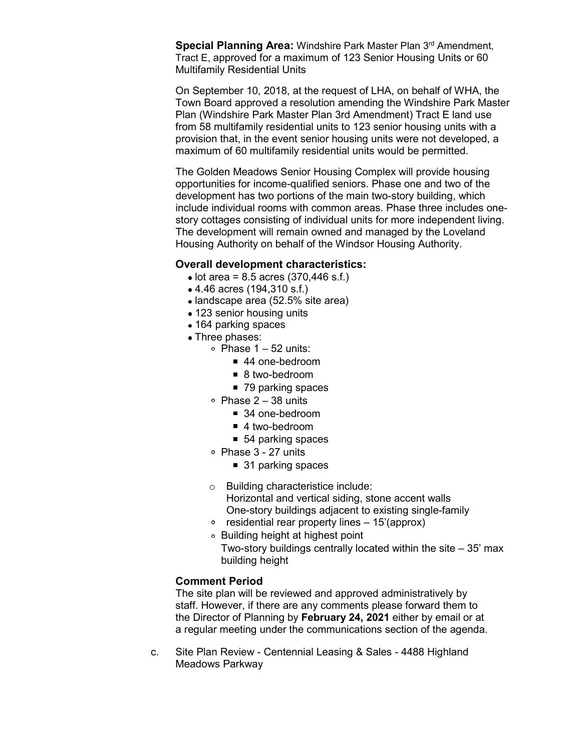**Special Planning Area: Windshire Park Master Plan 3rd Amendment,** Tract E, approved for a maximum of 123 Senior Housing Units or 60 Multifamily Residential Units

On September 10, 2018, at the request of LHA, on behalf of WHA, the Town Board approved a resolution amending the Windshire Park Master Plan (Windshire Park Master Plan 3rd Amendment) Tract E land use from 58 multifamily residential units to 123 senior housing units with a provision that, in the event senior housing units were not developed, a maximum of 60 multifamily residential units would be permitted.

The Golden Meadows Senior Housing Complex will provide housing opportunities for income-qualified seniors. Phase one and two of the development has two portions of the main two-story building, which include individual rooms with common areas. Phase three includes onestory cottages consisting of individual units for more independent living. The development will remain owned and managed by the Loveland Housing Authority on behalf of the Windsor Housing Authority.

#### **Overall development characteristics:**

- $\bullet$  lot area = 8.5 acres (370,446 s.f.)
- 4.46 acres (194,310 s.f.)
- landscape area (52.5% site area)
- 123 senior housing units
- 164 parking spaces
- Three phases:
	- $\circ$  Phase 1 52 units:
		- 44 one-bedroom
		- 8 two-bedroom
			- 79 parking spaces
	- Phase  $2 38$  units
		- 34 one-bedroom
		- 4 two-bedroom
		- 54 parking spaces
	- Phase 3 27 units
		- 31 parking spaces
	- o Building characteristice include: Horizontal and vertical siding, stone accent walls One-story buildings adjacent to existing single-family
	- $\degree$  residential rear property lines  $-15'$ (approx)
	- Building height at highest point Two-story buildings centrally located within the site  $-35'$  max building height

#### **Comment Period**

The site plan will be reviewed and approved administratively by staff. However, if there are any comments please forward them to the Director of Planning by **February 24, 2021** either by email or at a regular meeting under the communications section of the agenda.

c. Site Plan Review - Centennial Leasing & Sales - 4488 Highland Meadows Parkway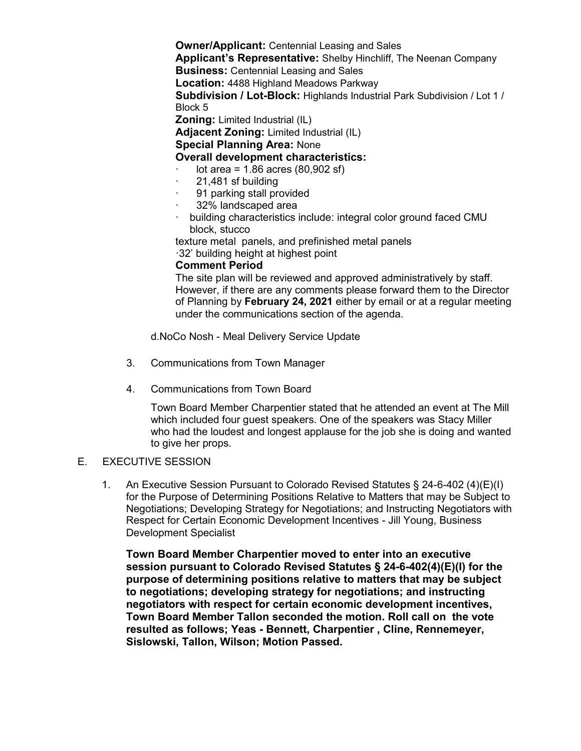**Owner/Applicant:** Centennial Leasing and Sales **Applicant's Representative:** Shelby Hinchliff, The Neenan Company **Business:** Centennial Leasing and Sales **Location:** 4488 Highland Meadows Parkway **Subdivision / Lot-Block:** Highlands Industrial Park Subdivision / Lot 1 / Block 5 **Zoning:** Limited Industrial (IL)

**Adjacent Zoning:** Limited Industrial (IL)

## **Special Planning Area:** None

### **Overall development characteristics:**

- $lot area = 1.86 acres (80,902 sf)$
- · 21,481 sf building
- 91 parking stall provided
- · 32% landscaped area
- building characteristics include: integral color ground faced CMU block, stucco

texture metal panels, and prefinished metal panels ·32' building height at highest point

#### **Comment Period**

The site plan will be reviewed and approved administratively by staff. However, if there are any comments please forward them to the Director of Planning by **February 24, 2021** either by email or at a regular meeting under the communications section of the agenda.

d.NoCo Nosh - Meal Delivery Service Update

- 3. Communications from Town Manager
- 4. Communications from Town Board

Town Board Member Charpentier stated that he attended an event at The Mill which included four guest speakers. One of the speakers was Stacy Miller who had the loudest and longest applause for the job she is doing and wanted to give her props.

#### E. EXECUTIVE SESSION

1. An Executive Session Pursuant to Colorado Revised Statutes § 24-6-402 (4)(E)(I) for the Purpose of Determining Positions Relative to Matters that may be Subject to Negotiations; Developing Strategy for Negotiations; and Instructing Negotiators with Respect for Certain Economic Development Incentives - Jill Young, Business Development Specialist

**Town Board Member Charpentier moved to enter into an executive session pursuant to Colorado Revised Statutes § 24-6-402(4)(E)(I) for the purpose of determining positions relative to matters that may be subject to negotiations; developing strategy for negotiations; and instructing negotiators with respect for certain economic development incentives, Town Board Member Tallon seconded the motion. Roll call on the vote resulted as follows; Yeas - Bennett, Charpentier , Cline, Rennemeyer, Sislowski, Tallon, Wilson; Motion Passed.**